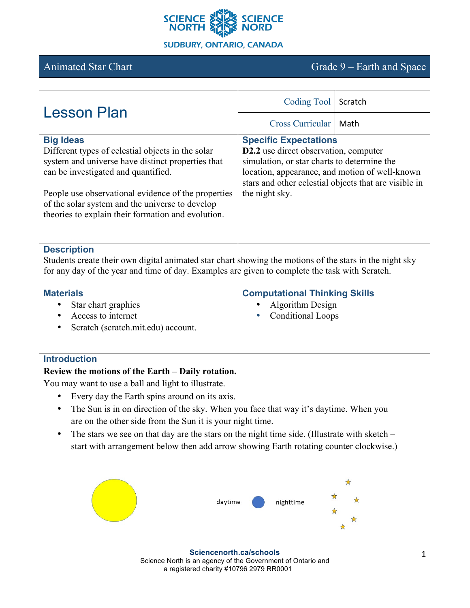

# Animated Star Chart Grade 9 – Earth and Space

| <b>Lesson Plan</b>                                                                                                                                           | Coding Tool                                                                                                                                                                                                       | Scratch |
|--------------------------------------------------------------------------------------------------------------------------------------------------------------|-------------------------------------------------------------------------------------------------------------------------------------------------------------------------------------------------------------------|---------|
|                                                                                                                                                              | Cross Curricular                                                                                                                                                                                                  | Math    |
| <b>Big Ideas</b>                                                                                                                                             | <b>Specific Expectations</b>                                                                                                                                                                                      |         |
| Different types of celestial objects in the solar<br>system and universe have distinct properties that<br>can be investigated and quantified.                | D2.2 use direct observation, computer<br>simulation, or star charts to determine the<br>location, appearance, and motion of well-known<br>stars and other celestial objects that are visible in<br>the night sky. |         |
| People use observational evidence of the properties<br>of the solar system and the universe to develop<br>theories to explain their formation and evolution. |                                                                                                                                                                                                                   |         |

#### **Description**

Students create their own digital animated star chart showing the motions of the stars in the night sky for any day of the year and time of day. Examples are given to complete the task with Scratch.

| <b>Materials</b>                        | <b>Computational Thinking Skills</b> |  |
|-----------------------------------------|--------------------------------------|--|
| Star chart graphics                     | Algorithm Design<br>$\bullet$        |  |
| Access to internet                      | • Conditional Loops                  |  |
| Scratch (scratch.mit.edu) account.<br>٠ |                                      |  |
|                                         |                                      |  |

#### **Introduction**

## **Review the motions of the Earth – Daily rotation.**

You may want to use a ball and light to illustrate.

- Every day the Earth spins around on its axis.
- The Sun is in on direction of the sky. When you face that way it's daytime. When you are on the other side from the Sun it is your night time.
- The stars we see on that day are the stars on the night time side. (Illustrate with sketch start with arrangement below then add arrow showing Earth rotating counter clockwise.)

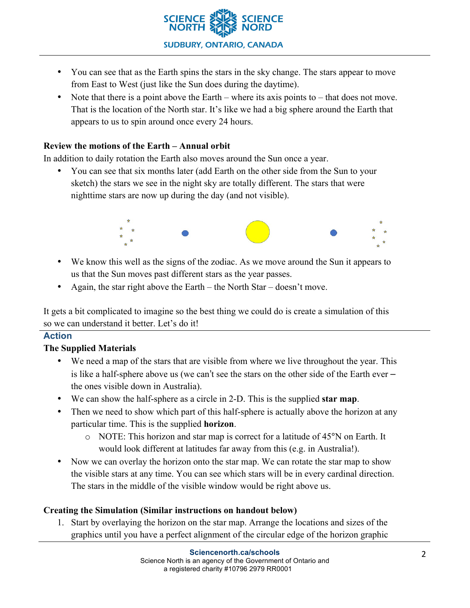

- You can see that as the Earth spins the stars in the sky change. The stars appear to move from East to West (just like the Sun does during the daytime).
- Note that there is a point above the Earth where its axis points to that does not move. That is the location of the North star. It's like we had a big sphere around the Earth that appears to us to spin around once every 24 hours.

#### **Review the motions of the Earth – Annual orbit**

In addition to daily rotation the Earth also moves around the Sun once a year.

• You can see that six months later (add Earth on the other side from the Sun to your sketch) the stars we see in the night sky are totally different. The stars that were nighttime stars are now up during the day (and not visible).



- We know this well as the signs of the zodiac. As we move around the Sun it appears to us that the Sun moves past different stars as the year passes.
- Again, the star right above the Earth the North Star doesn't move.

It gets a bit complicated to imagine so the best thing we could do is create a simulation of this so we can understand it better. Let's do it!

## **Action**

## **The Supplied Materials**

- We need a map of the stars that are visible from where we live throughout the year. This is like a half-sphere above us (we can't see the stars on the other side of the Earth ever – the ones visible down in Australia).
- We can show the half-sphere as a circle in 2-D. This is the supplied **star map**.
- Then we need to show which part of this half-sphere is actually above the horizon at any particular time. This is the supplied **horizon**.
	- $\circ$  NOTE: This horizon and star map is correct for a latitude of 45 $\degree$ N on Earth. It would look different at latitudes far away from this (e.g. in Australia!).
- Now we can overlay the horizon onto the star map. We can rotate the star map to show the visible stars at any time. You can see which stars will be in every cardinal direction. The stars in the middle of the visible window would be right above us.

#### **Creating the Simulation (Similar instructions on handout below)**

1. Start by overlaying the horizon on the star map. Arrange the locations and sizes of the graphics until you have a perfect alignment of the circular edge of the horizon graphic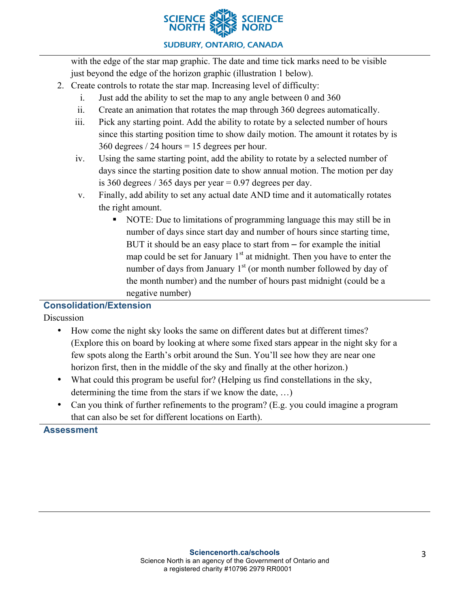

## **SUDBURY, ONTARIO, CANADA**

with the edge of the star map graphic. The date and time tick marks need to be visible just beyond the edge of the horizon graphic (illustration 1 below).

- 2. Create controls to rotate the star map. Increasing level of difficulty:
	- i. Just add the ability to set the map to any angle between 0 and 360
	- ii. Create an animation that rotates the map through 360 degrees automatically.
	- iii. Pick any starting point. Add the ability to rotate by a selected number of hours since this starting position time to show daily motion. The amount it rotates by is 360 degrees / 24 hours = 15 degrees per hour.
	- iv. Using the same starting point, add the ability to rotate by a selected number of days since the starting position date to show annual motion. The motion per day is 360 degrees / 365 days per year  $= 0.97$  degrees per day.
	- v. Finally, add ability to set any actual date AND time and it automatically rotates the right amount.
		- § NOTE: Due to limitations of programming language this may still be in number of days since start day and number of hours since starting time, BUT it should be an easy place to start from – for example the initial map could be set for January  $1<sup>st</sup>$  at midnight. Then you have to enter the number of days from January  $1<sup>st</sup>$  (or month number followed by day of the month number) and the number of hours past midnight (could be a negative number)

# **Consolidation/Extension**

**Discussion** 

- How come the night sky looks the same on different dates but at different times? (Explore this on board by looking at where some fixed stars appear in the night sky for a few spots along the Earth's orbit around the Sun. You'll see how they are near one horizon first, then in the middle of the sky and finally at the other horizon.)
- What could this program be useful for? (Helping us find constellations in the sky, determining the time from the stars if we know the date, …)
- Can you think of further refinements to the program? (E.g. you could imagine a program that can also be set for different locations on Earth).

## **Assessment**